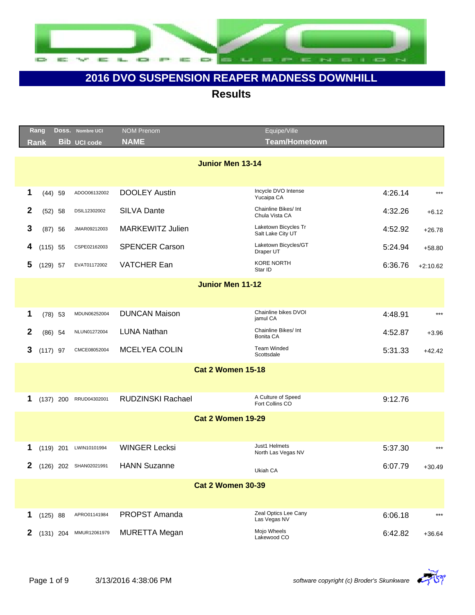

|              | Rang        |             | Doss. Nombre UCI       | <b>NOM Prenom</b>        | Equipe/Ville                              |         |            |
|--------------|-------------|-------------|------------------------|--------------------------|-------------------------------------------|---------|------------|
|              | <b>Rank</b> |             | <b>Bib UCI code</b>    | <b>NAME</b>              | <b>Team/Hometown</b>                      |         |            |
|              |             |             |                        | <b>Junior Men 13-14</b>  |                                           |         |            |
|              |             |             |                        |                          |                                           |         |            |
| 1            |             | $(44)$ 59   | ADOO06132002           | <b>DOOLEY Austin</b>     | Incycle DVO Intense<br>Yucaipa CA         | 4:26.14 | $***$      |
| 2            |             | $(52)$ 58   | DSIL12302002           | <b>SILVA Dante</b>       | Chainline Bikes/ Int<br>Chula Vista CA    | 4:32.26 | $+6.12$    |
| 3            |             | $(87)$ 56   | JMAR09212003           | <b>MARKEWITZ Julien</b>  | Laketown Bicycles Tr<br>Salt Lake City UT | 4:52.92 | $+26.78$   |
| 4            | $(115)$ 55  |             | CSPE02162003           | <b>SPENCER Carson</b>    | Laketown Bicycles/GT<br>Draper UT         | 5:24.94 | $+58.80$   |
| 5            | $(129)$ 57  |             | EVAT01172002           | <b>VATCHER Ean</b>       | <b>KORE NORTH</b><br>Star ID              | 6:36.76 | $+2:10.62$ |
|              |             |             |                        | <b>Junior Men 11-12</b>  |                                           |         |            |
|              |             |             |                        |                          |                                           |         |            |
| 1            |             | $(78)$ 53   | MDUN06252004           | <b>DUNCAN Maison</b>     | Chainline bikes DVOI<br>jamul CA          | 4:48.91 | $***$      |
| 2            |             | $(86)$ 54   | NLUN01272004           | <b>LUNA Nathan</b>       | Chainline Bikes/ Int<br>Bonita CA         | 4:52.87 | $+3.96$    |
| 3            | $(117)$ 97  |             | CMCE08052004           | <b>MCELYEA COLIN</b>     | <b>Team Winded</b><br>Scottsdale          | 5:31.33 | $+42.42$   |
|              |             |             |                        | <b>Cat 2 Women 15-18</b> |                                           |         |            |
|              |             |             |                        |                          |                                           |         |            |
| 1            |             | $(137)$ 200 | RRUD04302001           | RUDZINSKI Rachael        | A Culture of Speed<br>Fort Collins CO     | 9:12.76 |            |
|              |             |             |                        | <b>Cat 2 Women 19-29</b> |                                           |         |            |
|              |             |             |                        |                          |                                           |         |            |
| 1            |             | $(119)$ 201 | LWIN10101994           | <b>WINGER Lecksi</b>     | Just1 Helmets<br>North Las Vegas NV       | 5:37.30 | $***$      |
| $\mathbf{2}$ |             |             | (126) 202 SHAN02021991 | <b>HANN Suzanne</b>      | Ukiah CA                                  | 6:07.79 | $+30.49$   |
|              |             |             |                        | <b>Cat 2 Women 30-39</b> |                                           |         |            |
|              |             |             |                        |                          |                                           |         |            |
| 1            | $(125)$ 88  |             | APRO01141984           | PROPST Amanda            | Zeal Optics Lee Cany<br>Las Vegas NV      | 6:06.18 | $***$      |
| $\mathbf{2}$ |             | $(131)$ 204 | MMUR12061979           | <b>MURETTA Megan</b>     | Mojo Wheels<br>Lakewood CO                | 6:42.82 | $+36.64$   |

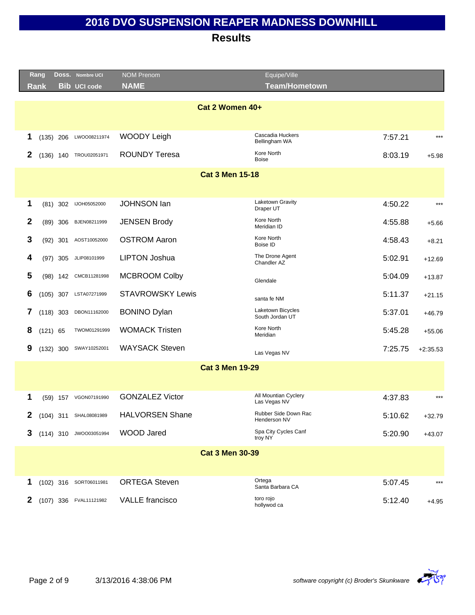|   | Rang        | Doss. Nombre UCI       | <b>NOM Prenom</b>       | Equipe/Ville                         |         |            |
|---|-------------|------------------------|-------------------------|--------------------------------------|---------|------------|
|   | <b>Rank</b> | <b>Bib UCI code</b>    | <b>NAME</b>             | <b>Team/Hometown</b>                 |         |            |
|   |             |                        | Cat 2 Women 40+         |                                      |         |            |
|   |             |                        |                         |                                      |         |            |
| 1 | $(135)$ 206 | LWOO08211974           | WOODY Leigh             | Cascadia Huckers<br>Bellingham WA    | 7:57.21 | $***$      |
| 2 |             | (136) 140 TROU02051971 | <b>ROUNDY Teresa</b>    | Kore North<br><b>Boise</b>           | 8:03.19 | $+5.98$    |
|   |             |                        | <b>Cat 3 Men 15-18</b>  |                                      |         |            |
|   |             |                        |                         |                                      |         |            |
| 1 | $(81)$ 302  | IJOH05052000           | <b>JOHNSON lan</b>      | Laketown Gravity<br>Draper UT        | 4:50.22 | $***$      |
| 2 | $(89)$ 306  | BJEN08211999           | <b>JENSEN Brody</b>     | Kore North<br>Meridian ID            | 4:55.88 | $+5.66$    |
| 3 | $(92)$ 301  | AOST10052000           | <b>OSTROM Aaron</b>     | Kore North<br>Boise ID               | 4:58.43 | $+8.21$    |
| 4 | $(97)$ 305  | JLIP08101999           | <b>LIPTON Joshua</b>    | The Drone Agent<br>Chandler AZ       | 5:02.91 | $+12.69$   |
| 5 |             | (98) 142 CMCB11281998  | <b>MCBROOM Colby</b>    | Glendale                             | 5:04.09 | $+13.87$   |
| 6 | $(105)$ 307 | LSTA07271999           | <b>STAVROWSKY Lewis</b> | santa fe NM                          | 5:11.37 | $+21.15$   |
| 7 | $(118)$ 303 | DBON11162000           | <b>BONINO Dylan</b>     | Laketown Bicycles<br>South Jordan UT | 5:37.01 | $+46.79$   |
| 8 | $(121)$ 65  | TWOM01291999           | <b>WOMACK Tristen</b>   | Kore North<br>Meridian               | 5:45.28 | $+55.06$   |
| 9 | (132) 300   | SWAY10252001           | <b>WAYSACK Steven</b>   | Las Vegas NV                         | 7:25.75 | $+2:35.53$ |
|   |             |                        | <b>Cat 3 Men 19-29</b>  |                                      |         |            |
|   |             |                        |                         |                                      |         |            |
| 1 |             | (59) 157 VGON07191990  | <b>GONZALEZ Victor</b>  | All Mountian Cyclery<br>Las Vegas NV | 4:37.83 | $***$      |
| 2 |             | (104) 311 SHAL08081989 | <b>HALVORSEN Shane</b>  | Rubber Side Down Rac<br>Henderson NV | 5:10.62 | $+32.79$   |
| 3 |             | (114) 310 JWOO03051994 | <b>WOOD Jared</b>       | Spa City Cycles Canf<br>troy NY      | 5:20.90 | $+43.07$   |
|   |             |                        | <b>Cat 3 Men 30-39</b>  |                                      |         |            |
|   |             |                        |                         |                                      |         |            |
| 1 |             | (102) 316 SORT06011981 | <b>ORTEGA Steven</b>    | Ortega<br>Santa Barbara CA           | 5:07.45 | $***$      |
| 2 |             | (107) 336 FVAL11121982 | <b>VALLE</b> francisco  | toro rojo<br>hollywod ca             | 5:12.40 | $+4.95$    |

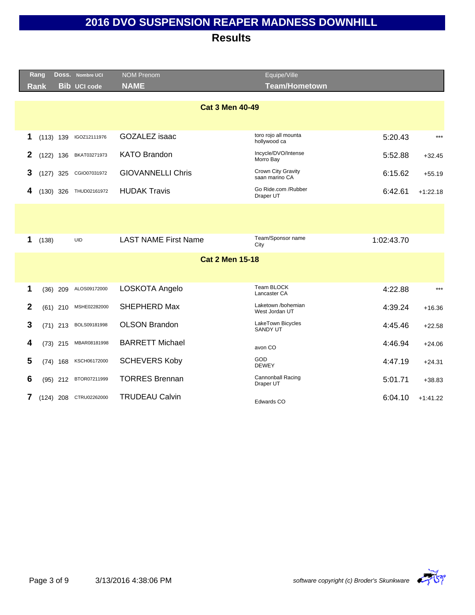|              | Rang        |             | DOSS. Nombre UCI    | <b>NOM Prenom</b>           | Equipe/Ville                         |            |            |
|--------------|-------------|-------------|---------------------|-----------------------------|--------------------------------------|------------|------------|
|              | <b>Rank</b> |             | <b>Bib UCI code</b> | <b>NAME</b>                 | <b>Team/Hometown</b>                 |            |            |
|              |             |             |                     | <b>Cat 3 Men 40-49</b>      |                                      |            |            |
| 1            |             | $(113)$ 139 | IGOZ12111976        | GOZALEZ isaac               | toro rojo all mounta<br>hollywood ca | 5:20.43    | $***$      |
| $\mathbf 2$  |             | $(122)$ 136 | BKAT03271973        | <b>KATO Brandon</b>         | Incycle/DVO/Intense<br>Morro Bay     | 5:52.88    | $+32.45$   |
| 3            |             | $(127)$ 325 | CGIO07031972        | <b>GIOVANNELLI Chris</b>    | Crown City Gravity<br>saan marino CA | 6:15.62    | $+55.19$   |
| 4            |             | $(130)$ 326 | THUD02161972        | <b>HUDAK Travis</b>         | Go Ride.com /Rubber<br>Draper UT     | 6:42.61    | $+1:22.18$ |
|              |             |             |                     |                             |                                      |            |            |
| 1            | (138)       |             | <b>UID</b>          | <b>LAST NAME First Name</b> | Team/Sponsor name<br>City            | 1:02:43.70 |            |
|              |             |             |                     | <b>Cat 2 Men 15-18</b>      |                                      |            |            |
|              |             |             |                     |                             |                                      |            |            |
| 1            |             | $(36)$ 209  | ALOS09172000        | LOSKOTA Angelo              | Team BLOCK<br>Lancaster CA           | 4:22.88    | $***$      |
| $\mathbf{2}$ |             | $(61)$ 210  | MSHE02282000        | SHEPHERD Max                | Laketown /bohemian<br>West Jordan UT | 4:39.24    | $+16.36$   |
| 3            |             | $(71)$ 213  | BOLS09181998        | <b>OLSON Brandon</b>        | LakeTown Bicycles<br>SANDY UT        | 4:45.46    | $+22.58$   |
| 4            |             | $(73)$ 215  | MBAR08181998        | <b>BARRETT Michael</b>      | avon CO                              | 4:46.94    | $+24.06$   |
| 5            |             | $(74)$ 168  | KSCH06172000        | <b>SCHEVERS Koby</b>        | GOD<br><b>DEWEY</b>                  | 4:47.19    | $+24.31$   |
| 6            |             | $(95)$ 212  | BTOR07211999        | <b>TORRES Brennan</b>       | Cannonball Racing<br>Draper UT       | 5:01.71    | $+38.83$   |
|              |             | $(124)$ 208 | CTRU02262000        | <b>TRUDEAU Calvin</b>       | Edwards CO                           | 6:04.10    | $+1:41.22$ |
|              |             |             |                     |                             |                                      |            |            |

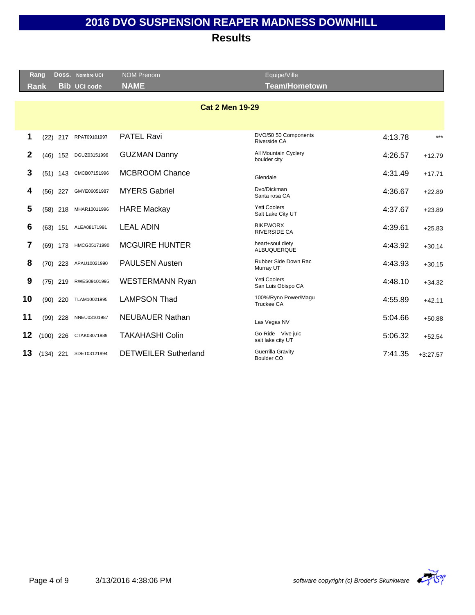|              | Rang        |            | Doss. Nombre UCI    | <b>NOM Prenom</b>           | Equipe/Ville                              |         |            |
|--------------|-------------|------------|---------------------|-----------------------------|-------------------------------------------|---------|------------|
|              | <b>Rank</b> |            | <b>Bib</b> UCI code | <b>NAME</b>                 | <b>Team/Hometown</b>                      |         |            |
|              |             |            |                     |                             |                                           |         |            |
|              |             |            |                     | <b>Cat 2 Men 19-29</b>      |                                           |         |            |
|              |             |            |                     |                             |                                           |         |            |
| 1            |             | $(22)$ 217 | RPAT09101997        | <b>PATEL Ravi</b>           | DVO/50 50 Components<br>Riverside CA      | 4:13.78 | $***$      |
| $\mathbf{2}$ |             | $(46)$ 152 | DGUZ03151996        | <b>GUZMAN Danny</b>         | All Mountain Cyclery<br>boulder city      | 4:26.57 | $+12.79$   |
| 3            |             | $(51)$ 143 | CMCB07151996        | <b>MCBROOM Chance</b>       | Glendale                                  | 4:31.49 | $+17.71$   |
| 4            |             | $(56)$ 227 | GMYE06051987        | <b>MYERS Gabriel</b>        | Dvo/Dickman<br>Santa rosa CA              | 4:36.67 | $+22.89$   |
| 5            |             | $(58)$ 218 | MHAR10011996        | <b>HARE Mackay</b>          | <b>Yeti Coolers</b><br>Salt Lake City UT  | 4:37.67 | $+23.89$   |
| 6            |             | $(63)$ 151 | ALEA08171991        | <b>LEAL ADIN</b>            | <b>BIKEWORX</b><br>RIVERSIDE CA           | 4:39.61 | $+25.83$   |
| 7            |             | $(69)$ 173 | HMCG05171990        | <b>MCGUIRE HUNTER</b>       | heart+soul diety<br>ALBUQUERQUE           | 4:43.92 | $+30.14$   |
| 8            |             | $(70)$ 223 | APAU10021990        | <b>PAULSEN Austen</b>       | Rubber Side Down Rac<br>Murray UT         | 4:43.93 | $+30.15$   |
| 9            |             | $(75)$ 219 | RWES09101995        | <b>WESTERMANN Ryan</b>      | <b>Yeti Coolers</b><br>San Luis Obispo CA | 4:48.10 | $+34.32$   |
| 10           |             | $(90)$ 220 | TLAM10021995        | <b>LAMPSON Thad</b>         | 100%/Ryno Power/Magu<br><b>Truckee CA</b> | 4:55.89 | $+42.11$   |
| 11           |             | $(99)$ 228 | NNEU03101987        | <b>NEUBAUER Nathan</b>      | Las Vegas NV                              | 5:04.66 | $+50.88$   |
| 12           | $(100)$ 226 |            | CTAK08071989        | <b>TAKAHASHI Colin</b>      | Go-Ride Vive juic<br>salt lake city UT    | 5:06.32 | $+52.54$   |
| 13           | $(134)$ 221 |            | SDET03121994        | <b>DETWEILER Sutherland</b> | Guerrilla Gravity<br>Boulder CO           | 7:41.35 | $+3:27.57$ |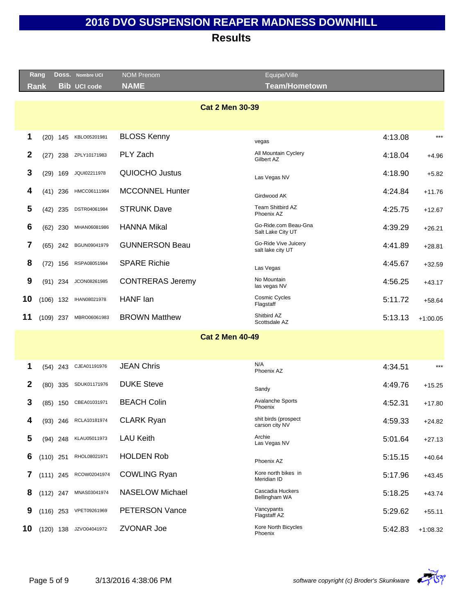|                | Rang        |            | DOSS. Nombre UCI    | <b>NOM Prenom</b>       | Equipe/Ville                              |         |            |
|----------------|-------------|------------|---------------------|-------------------------|-------------------------------------------|---------|------------|
|                | <b>Rank</b> |            | <b>Bib UCI code</b> | <b>NAME</b>             | <b>Team/Hometown</b>                      |         |            |
|                |             |            |                     | <b>Cat 2 Men 30-39</b>  |                                           |         |            |
|                |             |            |                     |                         |                                           |         |            |
| 1              |             | $(20)$ 145 | KBLO05201981        | <b>BLOSS Kenny</b>      | vegas                                     | 4:13.08 | $***$      |
| 2              |             | $(27)$ 238 | ZPLY10171983        | PLY Zach                | All Mountain Cyclery<br>Gilbert AZ        | 4:18.04 | $+4.96$    |
| 3              |             | $(29)$ 169 | JQUI02211978        | QUIOCHO Justus          | Las Vegas NV                              | 4:18.90 | $+5.82$    |
| 4              |             | $(41)$ 236 | HMCC06111984        | <b>MCCONNEL Hunter</b>  | Girdwood AK                               | 4:24.84 | $+11.76$   |
| 5              |             | $(42)$ 235 | DSTR04061984        | <b>STRUNK Dave</b>      | Team Shitbird AZ<br>Phoenix AZ            | 4:25.75 | $+12.67$   |
| 6              |             | $(62)$ 230 | MHAN06081986        | <b>HANNA Mikal</b>      | Go-Ride.com Beau-Gna<br>Salt Lake City UT | 4:39.29 | $+26.21$   |
| 7              |             | $(65)$ 242 | BGUN09041979        | <b>GUNNERSON Beau</b>   | Go-Ride Vive Juicery<br>salt lake city UT | 4:41.89 | $+28.81$   |
| 8              |             | $(72)$ 156 | RSPA08051984        | <b>SPARE Richie</b>     | Las Vegas                                 | 4:45.67 | $+32.59$   |
| 9              |             | $(91)$ 234 | JCON08261985        | <b>CONTRERAS Jeremy</b> | No Mountain<br>las vegas NV               | 4:56.25 | $+43.17$   |
| 10             | $(106)$ 132 |            | IHAN08021978        | HANF lan                | Cosmic Cycles<br>Flagstaff                | 5:11.72 | $+58.64$   |
| 11             | $(109)$ 237 |            | MBRO06061983        | <b>BROWN Matthew</b>    | Shitbird AZ<br>Scottsdale AZ              | 5:13.13 | $+1:00.05$ |
|                |             |            |                     | <b>Cat 2 Men 40-49</b>  |                                           |         |            |
|                |             |            |                     |                         |                                           |         |            |
| 1              |             | $(54)$ 243 | CJEA01191976        | <b>JEAN Chris</b>       | N/A<br>Phoenix AZ                         | 4:34.51 | $***$      |
| $\overline{2}$ |             | $(80)$ 335 | SDUK01171976        | <b>DUKE Steve</b>       | Sandy                                     | 4:49.76 | $+15.25$   |
| 3              |             | $(85)$ 150 | CBEA01031971        | <b>BEACH Colin</b>      | <b>Avalanche Sports</b><br>Phoenix        | 4:52.31 | $+17.80$   |
| 4              |             | (93) 246   | RCLA10181974        | <b>CLARK Ryan</b>       | shit birds (prospect<br>carson city NV    | 4:59.33 | $+24.82$   |

| з  | (85)        | 150        | CBEA01031971 | <b>BEACH Colin</b>     | Avalanche Sports<br>Phoenix            | 4:52.31 | $+17.80$   |
|----|-------------|------------|--------------|------------------------|----------------------------------------|---------|------------|
| 4  |             | $(93)$ 246 | RCLA10181974 | <b>CLARK Ryan</b>      | shit birds (prospect<br>carson city NV | 4:59.33 | $+24.82$   |
| 5. | $(94)$ 248  |            | KLAU05011973 | <b>LAU Keith</b>       | Archie<br>Las Vegas NV                 | 5:01.64 | $+27.13$   |
| 6  | $(110)$ 251 |            | RHOL08021971 | <b>HOLDEN Rob</b>      | Phoenix AZ                             | 5:15.15 | $+40.64$   |
|    | $(111)$ 245 |            | RCOW02041974 | <b>COWLING Ryan</b>    | Kore north bikes in<br>Meridian ID     | 5:17.96 | $+43.45$   |
| 8  | $(112)$ 247 |            | MNAS03041974 | <b>NASELOW Michael</b> | Cascadia Huckers<br>Bellingham WA      | 5:18.25 | $+43.74$   |
| 9  | $(116)$ 253 |            | VPET09261969 | <b>PETERSON Vance</b>  | Vancypants<br>Flagstaff AZ             | 5:29.62 | $+55.11$   |
| 10 | (120)       | 138        | JZVO04041972 | <b>ZVONAR Joe</b>      | Kore North Bicycles<br>Phoenix         | 5:42.83 | $+1:08.32$ |

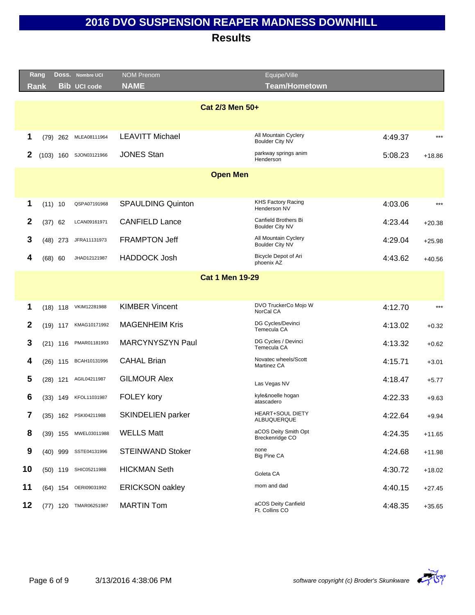|              | Rang |             | DOSS. Nombre UCI      | <b>NOM Prenom</b>        | Equipe/Ville                                   |         |          |
|--------------|------|-------------|-----------------------|--------------------------|------------------------------------------------|---------|----------|
|              | Rank |             | <b>Bib UCI code</b>   | <b>NAME</b>              | Team/Hometown                                  |         |          |
|              |      |             |                       |                          |                                                |         |          |
|              |      |             |                       | Cat 2/3 Men 50+          |                                                |         |          |
|              |      |             |                       |                          |                                                |         |          |
| 1            |      | (79) 262    | MLEA08111964          | <b>LEAVITT Michael</b>   | All Mountain Cyclery<br><b>Boulder City NV</b> | 4:49.37 | $***$    |
| $\mathbf{2}$ |      | $(103)$ 160 | SJON03121966          | <b>JONES Stan</b>        | parkway springs anim<br>Henderson              | 5:08.23 | $+18.86$ |
|              |      |             |                       | <b>Open Men</b>          |                                                |         |          |
|              |      |             |                       |                          |                                                |         |          |
| 1            |      | (11) 10     | QSPA07191968          | <b>SPAULDING Quinton</b> | <b>KHS Factory Racing</b><br>Henderson NV      | 4:03.06 | $***$    |
| $\mathbf{2}$ | (37) | 62          | LCAN09161971          | <b>CANFIELD Lance</b>    | Canfield Brothers Bi<br><b>Boulder City NV</b> | 4:23.44 | $+20.38$ |
| 3            |      | $(48)$ 273  | JFRA11131973          | <b>FRAMPTON Jeff</b>     | All Mountain Cyclery<br>Boulder City NV        | 4:29.04 | $+25.98$ |
| 4            |      | (68) 60     | JHAD12121987          | <b>HADDOCK Josh</b>      | Bicycle Depot of Ari<br>phoenix AZ             | 4:43.62 | $+40.56$ |
|              |      |             |                       | <b>Cat 1 Men 19-29</b>   |                                                |         |          |
|              |      |             |                       |                          |                                                |         |          |
| 1            |      |             | (18) 118 VKIM12281988 | <b>KIMBER Vincent</b>    | DVO TruckerCo Mojo W<br>NorCal CA              | 4:12.70 | $***$    |
| $\mathbf{2}$ |      |             | (19) 117 KMAG10171992 | <b>MAGENHEIM Kris</b>    | DG Cycles/Devinci<br>Temecula CA               | 4:13.02 | $+0.32$  |
| 3            |      |             | (21) 116 PMAR01181993 | MARCYNYSZYN Paul         | DG Cycles / Devinci<br>Temecula CA             | 4:13.32 | $+0.62$  |
| 4            |      |             | (26) 115 BCAH10131996 | <b>CAHAL Brian</b>       | Novatec wheels/Scott<br>Martinez CA            | 4:15.71 | $+3.01$  |
| 5            |      | $(28)$ 121  | AGIL04211987          | <b>GILMOUR Alex</b>      | Las Vegas NV                                   | 4:18.47 | $+5.77$  |
| 6            |      | (33) 149    | KFOL11031987          | FOLEY kory               | kyle&noelle hogan<br>atascadero                | 4:22.33 | $+9.63$  |
| 7            |      |             | (35) 162 PSKI04211988 | <b>SKINDELIEN parker</b> | <b>HEART+SOUL DIETY</b><br>ALBUQUERQUE         | 4:22.64 | $+9.94$  |
| 8            |      | (39) 155    | MWEL03011988          | <b>WELLS Matt</b>        | aCOS Deity Smith Opt<br>Breckenridge CO        | 4:24.35 | $+11.65$ |
| 9            |      |             | (40) 999 SSTE04131996 | <b>STEINWAND Stoker</b>  | none<br>Big Pine CA                            | 4:24.68 | $+11.98$ |
| 10           |      | (50) 119    | SHIC05211988          | <b>HICKMAN Seth</b>      | Goleta CA                                      | 4:30.72 | $+18.02$ |
| 11           |      | (64) 154    | OERI09031992          | <b>ERICKSON oakley</b>   | mom and dad                                    | 4:40.15 | $+27.45$ |
| 12           |      | (77) 120    | TMAR06251987          | <b>MARTIN Tom</b>        | aCOS Deity Canfield<br>Ft. Collins CO          | 4:48.35 | $+35.65$ |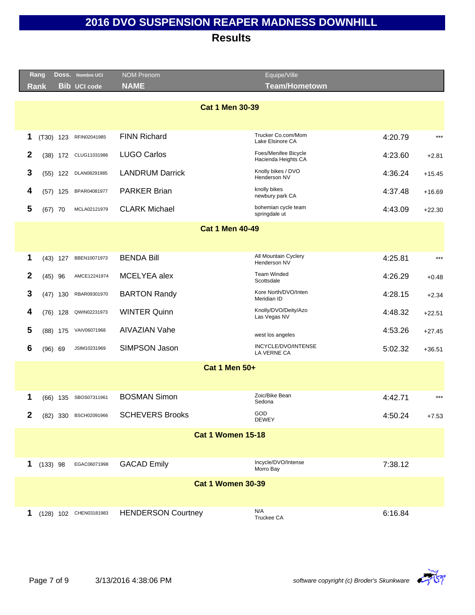|                  | Rang        |             | DOSS. Nombre UCI       | <b>NOM Prenom</b>         | Equipe/Ville                                |         |          |
|------------------|-------------|-------------|------------------------|---------------------------|---------------------------------------------|---------|----------|
|                  | <b>Rank</b> |             | <b>Bib UCI code</b>    | <b>NAME</b>               | <b>Team/Hometown</b>                        |         |          |
|                  |             |             |                        |                           |                                             |         |          |
|                  |             |             |                        | <b>Cat 1 Men 30-39</b>    |                                             |         |          |
|                  |             |             |                        |                           |                                             |         |          |
| 1                |             | $(T30)$ 123 | RFIN02041985           | <b>FINN Richard</b>       | Trucker Co.com/Mom<br>Lake Elsinore CA      | 4:20.79 | $***$    |
| $\boldsymbol{2}$ |             | $(38)$ 172  | CLUG11031986           | <b>LUGO Carlos</b>        | Foes/Menifee Bicycle<br>Hacienda Heights CA | 4:23.60 | $+2.81$  |
| 3                |             | $(55)$ 122  | DLAN08291985           | <b>LANDRUM Darrick</b>    | Knolly bikes / DVO<br>Henderson NV          | 4:36.24 | $+15.45$ |
| 4                |             | $(57)$ 125  | BPAR04081977           | <b>PARKER Brian</b>       | knolly bikes<br>newbury park CA             | 4:37.48 | $+16.69$ |
| 5                |             | $(67)$ 70   | MCLA02121979           | <b>CLARK Michael</b>      | bohemian cycle team<br>springdale ut        | 4:43.09 | $+22.30$ |
|                  |             |             |                        | <b>Cat 1 Men 40-49</b>    |                                             |         |          |
|                  |             |             |                        |                           |                                             |         |          |
| 1                |             | $(43)$ 127  | BBEN10071973           | <b>BENDA Bill</b>         | All Mountain Cyclery                        | 4:25.81 | $***$    |
|                  |             |             |                        |                           | Henderson NV                                |         |          |
| $\mathbf{2}$     |             | $(45)$ 96   | AMCE12241974           | MCELYEA alex              | <b>Team Winded</b><br>Scottsdale            | 4:26.29 | $+0.48$  |
| 3                |             | $(47)$ 130  | RBAR09301970           | <b>BARTON Randy</b>       | Kore North/DVO/Inten<br>Meridian ID         | 4:28.15 | $+2.34$  |
| 4                |             | $(76)$ 128  | QWIN02231973           | <b>WINTER Quinn</b>       | Knolly/DVO/Deity/Azo<br>Las Vegas NV        | 4:48.32 | $+22.51$ |
| 5                |             | $(88)$ 175  | VAIV06071968           | <b>AIVAZIAN Vahe</b>      | west los angeles                            | 4:53.26 | $+27.45$ |
| 6                |             | (96) 69     | JSIM10231969           | SIMPSON Jason             | INCYCLE/DVO/INTENSE<br>LA VERNE CA          | 5:02.32 | $+36.51$ |
|                  |             |             |                        | <b>Cat 1 Men 50+</b>      |                                             |         |          |
|                  |             |             |                        |                           |                                             |         |          |
| 1                |             | $(66)$ 135  | SBOS07311961           | <b>BOSMAN Simon</b>       | Zoic/Bike Bean<br>Sedona                    | 4:42.71 | $***$    |
| 2                |             | $(82)$ 330  | BSCH02091966           | <b>SCHEVERS Brooks</b>    | GOD<br><b>DEWEY</b>                         | 4:50.24 | $+7.53$  |
|                  |             |             |                        | <b>Cat 1 Women 15-18</b>  |                                             |         |          |
|                  |             |             |                        |                           |                                             |         |          |
| 1                |             | $(133)$ 98  | EGAC06071998           | <b>GACAD Emily</b>        | Incycle/DVO/Intense<br>Morro Bay            | 7:38.12 |          |
|                  |             |             |                        | <b>Cat 1 Women 30-39</b>  |                                             |         |          |
|                  |             |             |                        |                           |                                             |         |          |
|                  |             |             |                        |                           |                                             |         |          |
| 1                |             |             | (128) 102 CHEN03181983 | <b>HENDERSON Courtney</b> | N/A<br>Truckee CA                           | 6:16.84 |          |

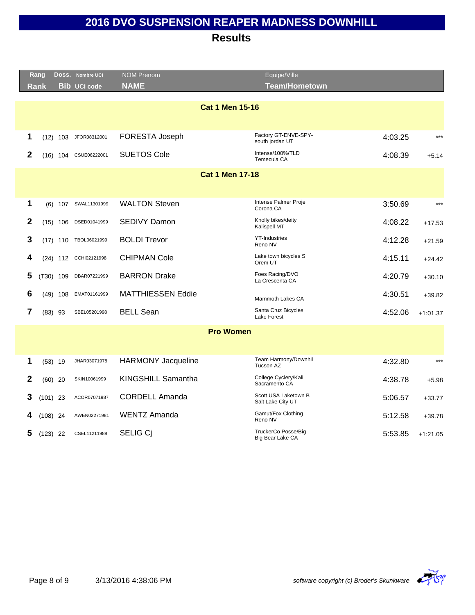|                | Rang       |            | Doss. Nombre UCI      | <b>NOM Prenom</b>         | Equipe/Ville                              |         |            |
|----------------|------------|------------|-----------------------|---------------------------|-------------------------------------------|---------|------------|
|                | Rank       |            | <b>Bib UCI code</b>   | <b>NAME</b>               | <b>Team/Hometown</b>                      |         |            |
|                |            |            |                       |                           |                                           |         |            |
|                |            |            |                       | <b>Cat 1 Men 15-16</b>    |                                           |         |            |
|                |            |            |                       |                           |                                           |         |            |
| 1              |            | $(12)$ 103 | JFOR08312001          | FORESTA Joseph            | Factory GT-ENVE-SPY-<br>south jordan UT   | 4:03.25 | $***$      |
| $\overline{2}$ |            |            | (16) 104 CSUE06222001 | <b>SUETOS Cole</b>        | Intense/100%/TLD<br>Temecula CA           | 4:08.39 | $+5.14$    |
|                |            |            |                       | <b>Cat 1 Men 17-18</b>    |                                           |         |            |
|                |            |            |                       |                           |                                           |         |            |
|                |            |            |                       |                           |                                           |         |            |
| 1              |            |            | (6) 107 SWAL11301999  | <b>WALTON Steven</b>      | Intense Palmer Proje<br>Corona CA         | 3:50.69 | $***$      |
| $\mathbf{2}$   |            | $(15)$ 106 | DSED01041999          | <b>SEDIVY Damon</b>       | Knolly bikes/deity<br>Kalispell MT        | 4:08.22 | $+17.53$   |
| 3              |            | $(17)$ 110 | TBOL06021999          | <b>BOLDI Trevor</b>       | <b>YT-Industries</b><br>Reno NV           | 4:12.28 | $+21.59$   |
| 4              |            |            | (24) 112 CCHI02121998 | <b>CHIPMAN Cole</b>       | Lake town bicycles S<br>Orem UT           | 4:15.11 | $+24.42$   |
| 5              |            | (T30) 109  | DBAR07221999          | <b>BARRON Drake</b>       | Foes Racing/DVO<br>La Crescenta CA        | 4:20.79 | $+30.10$   |
| 6              |            | $(49)$ 108 | EMAT01161999          | <b>MATTHIESSEN Eddie</b>  | Mammoth Lakes CA                          | 4:30.51 | $+39.82$   |
| $\overline{7}$ |            | $(83)$ 93  | SBEL05201998          | <b>BELL Sean</b>          | Santa Cruz Bicycles<br>Lake Forest        | 4:52.06 | $+1:01.37$ |
|                |            |            |                       | <b>Pro Women</b>          |                                           |         |            |
|                |            |            |                       |                           |                                           |         |            |
|                |            |            |                       |                           | Team Harmony/Downhil                      |         |            |
| 1              |            | $(53)$ 19  | JHAR03071978          | <b>HARMONY Jacqueline</b> | Tucson AZ                                 | 4:32.80 | $***$      |
| 2              |            | $(60)$ 20  | SKIN10061999          | KINGSHILL Samantha        | College Cyclery/Kali<br>Sacramento CA     | 4:38.78 | $+5.98$    |
| 3              | $(101)$ 23 |            | ACOR07071987          | <b>CORDELL Amanda</b>     | Scott USA Laketown B<br>Salt Lake City UT | 5:06.57 | $+33.77$   |
| 4              | $(108)$ 24 |            | AWEN02271981          | <b>WENTZ Amanda</b>       | Gamut/Fox Clothing<br>Reno NV             | 5:12.58 | $+39.78$   |
| 5              | $(123)$ 22 |            | CSEL11211988          | SELIG Cj                  | TruckerCo Posse/Big<br>Big Bear Lake CA   | 5:53.85 | $+1:21.05$ |